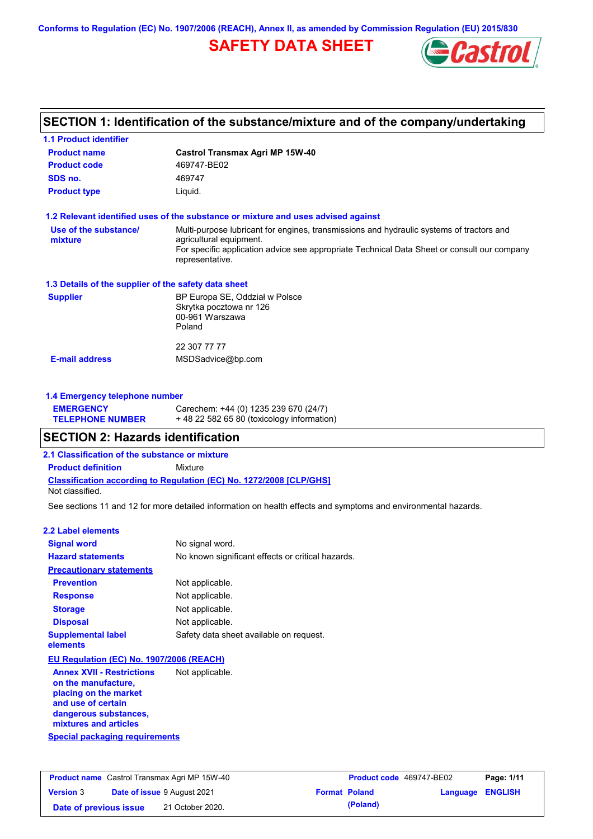**Conforms to Regulation (EC) No. 1907/2006 (REACH), Annex II, as amended by Commission Regulation (EU) 2015/830**

# **SAFETY DATA SHEET**



# **SECTION 1: Identification of the substance/mixture and of the company/undertaking**

| <b>1.1 Product identifier</b>                                                 |                                                                                                                                                                                                                                       |
|-------------------------------------------------------------------------------|---------------------------------------------------------------------------------------------------------------------------------------------------------------------------------------------------------------------------------------|
| <b>Product name</b>                                                           | Castrol Transmax Agri MP 15W-40                                                                                                                                                                                                       |
| <b>Product code</b>                                                           | 469747-BE02                                                                                                                                                                                                                           |
| SDS no.                                                                       | 469747                                                                                                                                                                                                                                |
| <b>Product type</b>                                                           | Liquid.                                                                                                                                                                                                                               |
|                                                                               | 1.2 Relevant identified uses of the substance or mixture and uses advised against                                                                                                                                                     |
| Use of the substance/<br>mixture                                              | Multi-purpose lubricant for engines, transmissions and hydraulic systems of tractors and<br>agricultural equipment.<br>For specific application advice see appropriate Technical Data Sheet or consult our company<br>representative. |
| 1.3 Details of the supplier of the safety data sheet                          |                                                                                                                                                                                                                                       |
| <b>Supplier</b>                                                               | BP Europa SE, Oddział w Polsce<br>Skrytka pocztowa nr 126<br>00-961 Warszawa<br>Poland                                                                                                                                                |
|                                                                               | 22 307 77 77                                                                                                                                                                                                                          |
| <b>E-mail address</b>                                                         | MSDSadvice@bp.com                                                                                                                                                                                                                     |
| 1.4 Emergency telephone number<br><b>EMERGENCY</b><br><b>TELEPHONE NUMBER</b> | Carechem: +44 (0) 1235 239 670 (24/7)<br>+48 22 582 65 80 (toxicology information)                                                                                                                                                    |
| <b>SECTION 2: Hazards identification</b>                                      |                                                                                                                                                                                                                                       |
| 2.1 Classification of the substance or mixture                                |                                                                                                                                                                                                                                       |
| <b>Product definition</b>                                                     | Mixture                                                                                                                                                                                                                               |
| Not classified.                                                               | <b>Classification according to Regulation (EC) No. 1272/2008 [CLP/GHS]</b>                                                                                                                                                            |
|                                                                               | See sections 11 and 12 for more detailed information on health effects and symptoms and environmental hazards.                                                                                                                        |
| <b>2.2 Label elements</b>                                                     |                                                                                                                                                                                                                                       |
| <b>Signal word</b>                                                            | No signal word.                                                                                                                                                                                                                       |
| <b>Hazard statements</b>                                                      | No known significant effects or critical hazards.                                                                                                                                                                                     |
| <b>Precautionary statements</b>                                               |                                                                                                                                                                                                                                       |
| <b>Prevention</b>                                                             | Not applicable.                                                                                                                                                                                                                       |
| <b>Response</b>                                                               | Not applicable.                                                                                                                                                                                                                       |
| <b>Storage</b>                                                                | Not applicable.                                                                                                                                                                                                                       |
| <b>Disposal</b>                                                               | Not applicable.                                                                                                                                                                                                                       |
| <b>Supplemental label</b><br>elements                                         | Safety data sheet available on request.                                                                                                                                                                                               |

### **EU Regulation (EC) No. 1907/2006 (REACH)**

**Special packaging requirements Annex XVII - Restrictions on the manufacture, placing on the market and use of certain dangerous substances, mixtures and articles** Not applicable.

| <b>Product name</b> Castrol Transmax Agri MP 15W-40 |  |                                    | <b>Product code</b> 469747-BE02 | Page: 1/11           |                         |  |
|-----------------------------------------------------|--|------------------------------------|---------------------------------|----------------------|-------------------------|--|
| <b>Version 3</b>                                    |  | <b>Date of issue 9 August 2021</b> |                                 | <b>Format Poland</b> | <b>Language ENGLISH</b> |  |
| Date of previous issue                              |  | 21 October 2020.                   |                                 | (Poland)             |                         |  |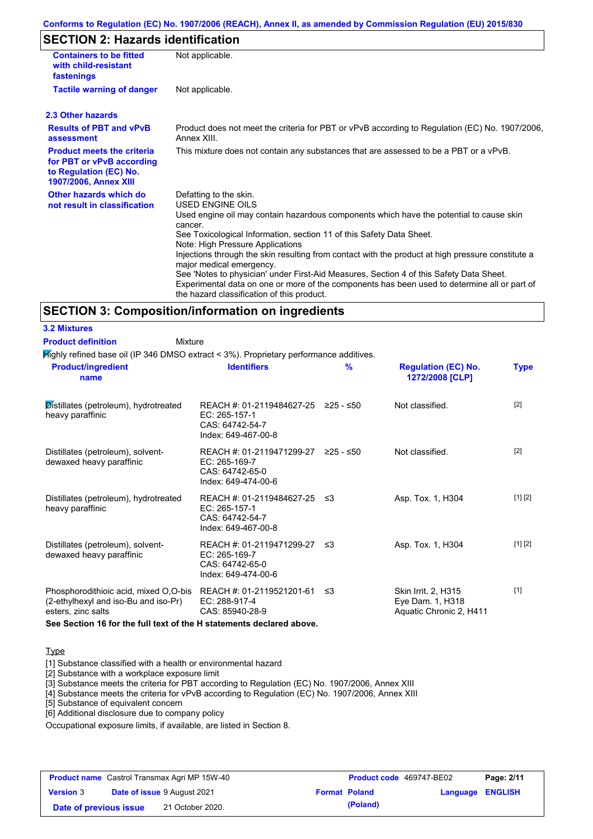### **Conforms to Regulation (EC) No. 1907/2006 (REACH), Annex II, as amended by Commission Regulation (EU) 2015/830**

# **SECTION 2: Hazards identification**

| <b>Containers to be fitted</b><br>with child-resistant<br>fastenings                                                     | Not applicable.                                                                                                                                                                                                                                                                                                                                                                                                                                                                                                                                                                                                                        |
|--------------------------------------------------------------------------------------------------------------------------|----------------------------------------------------------------------------------------------------------------------------------------------------------------------------------------------------------------------------------------------------------------------------------------------------------------------------------------------------------------------------------------------------------------------------------------------------------------------------------------------------------------------------------------------------------------------------------------------------------------------------------------|
| <b>Tactile warning of danger</b>                                                                                         | Not applicable.                                                                                                                                                                                                                                                                                                                                                                                                                                                                                                                                                                                                                        |
| 2.3 Other hazards                                                                                                        |                                                                                                                                                                                                                                                                                                                                                                                                                                                                                                                                                                                                                                        |
| <b>Results of PBT and vPvB</b><br>assessment                                                                             | Product does not meet the criteria for PBT or vPvB according to Regulation (EC) No. 1907/2006,<br>Annex XIII.                                                                                                                                                                                                                                                                                                                                                                                                                                                                                                                          |
| <b>Product meets the criteria</b><br>for PBT or vPvB according<br>to Regulation (EC) No.<br><b>1907/2006, Annex XIII</b> | This mixture does not contain any substances that are assessed to be a PBT or a vPvB.                                                                                                                                                                                                                                                                                                                                                                                                                                                                                                                                                  |
| Other hazards which do<br>not result in classification                                                                   | Defatting to the skin.<br>USED ENGINE OILS<br>Used engine oil may contain hazardous components which have the potential to cause skin<br>cancer.<br>See Toxicological Information, section 11 of this Safety Data Sheet.<br>Note: High Pressure Applications<br>Injections through the skin resulting from contact with the product at high pressure constitute a<br>major medical emergency.<br>See 'Notes to physician' under First-Aid Measures, Section 4 of this Safety Data Sheet.<br>Experimental data on one or more of the components has been used to determine all or part of<br>the hazard classification of this product. |

### **SECTION 3: Composition/information on ingredients**

Mixture

Highly refined base oil (IP 346 DMSO extract < 3%). Proprietary performance additives.

| <b>Product/ingredient</b><br>name                                                                   | <b>Identifiers</b>                                                                             | $\frac{9}{6}$ | <b>Regulation (EC) No.</b><br>1272/2008 [CLP]                      | <b>Type</b> |
|-----------------------------------------------------------------------------------------------------|------------------------------------------------------------------------------------------------|---------------|--------------------------------------------------------------------|-------------|
| Distillates (petroleum), hydrotreated<br>heavy paraffinic                                           | REACH #: 01-2119484627-25 ≥25 - ≤50<br>EC: 265-157-1<br>CAS: 64742-54-7<br>Index: 649-467-00-8 |               | Not classified.                                                    | $[2]$       |
| Distillates (petroleum), solvent-<br>dewaxed heavy paraffinic                                       | REACH #: 01-2119471299-27 ≥25 - ≤50<br>EC: 265-169-7<br>CAS: 64742-65-0<br>Index: 649-474-00-6 |               | Not classified.                                                    | $[2]$       |
| Distillates (petroleum), hydrotreated<br>heavy paraffinic                                           | REACH #: 01-2119484627-25 ≤3<br>$EC: 265-157-1$<br>CAS: 64742-54-7<br>Index: 649-467-00-8      |               | Asp. Tox. 1, H304                                                  | [1] [2]     |
| Distillates (petroleum), solvent-<br>dewaxed heavy paraffinic                                       | REACH #: 01-2119471299-27 ≤3<br>EC: 265-169-7<br>CAS: 64742-65-0<br>Index: 649-474-00-6        |               | Asp. Tox. 1, H304                                                  | [1] [2]     |
| Phosphorodithioic acid, mixed O,O-bis<br>(2-ethylhexyl and iso-Bu and iso-Pr)<br>esters, zinc salts | REACH #: 01-2119521201-61<br>EC: 288-917-4<br>CAS: 85940-28-9                                  | ב≥            | Skin Irrit. 2, H315<br>Eye Dam. 1, H318<br>Aquatic Chronic 2, H411 | $[1]$       |

**See Section 16 for the full text of the H statements declared above.**

#### **Type**

**3.2 Mixtures Product definition**

[1] Substance classified with a health or environmental hazard

[2] Substance with a workplace exposure limit

[3] Substance meets the criteria for PBT according to Regulation (EC) No. 1907/2006, Annex XIII

[4] Substance meets the criteria for vPvB according to Regulation (EC) No. 1907/2006, Annex XIII

[5] Substance of equivalent concern

[6] Additional disclosure due to company policy

Occupational exposure limits, if available, are listed in Section 8.

| <b>Product name</b> Castrol Transmax Agri MP 15W-40    |  |                      | Product code 469747-BE02 | Page: 2/11 |  |
|--------------------------------------------------------|--|----------------------|--------------------------|------------|--|
| <b>Date of issue 9 August 2021</b><br><b>Version 3</b> |  | <b>Format Poland</b> | <b>Language ENGLISH</b>  |            |  |
| Date of previous issue                                 |  | 21 October 2020.     | (Poland)                 |            |  |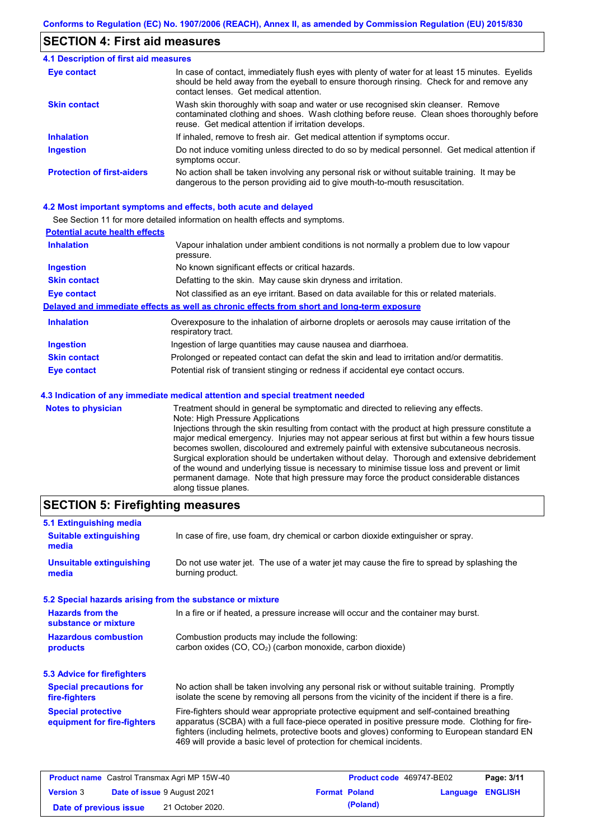### **SECTION 4: First aid measures**

#### Do not induce vomiting unless directed to do so by medical personnel. Get medical attention if symptoms occur. In case of contact, immediately flush eyes with plenty of water for at least 15 minutes. Eyelids should be held away from the eyeball to ensure thorough rinsing. Check for and remove any contact lenses. Get medical attention. **4.1 Description of first aid measures** If inhaled, remove to fresh air. Get medical attention if symptoms occur. **Ingestion Inhalation Eye contact Protection of first-aiders** No action shall be taken involving any personal risk or without suitable training. It may be dangerous to the person providing aid to give mouth-to-mouth resuscitation. **Skin contact** Wash skin thoroughly with soap and water or use recognised skin cleanser. Remove contaminated clothing and shoes. Wash clothing before reuse. Clean shoes thoroughly before reuse. Get medical attention if irritation develops.

### **4.2 Most important symptoms and effects, both acute and delayed**

See Section 11 for more detailed information on health effects and symptoms.

| <b>Potential acute health effects</b> |                                                                                                                   |
|---------------------------------------|-------------------------------------------------------------------------------------------------------------------|
| <b>Inhalation</b>                     | Vapour inhalation under ambient conditions is not normally a problem due to low vapour<br>pressure.               |
| <b>Ingestion</b>                      | No known significant effects or critical hazards.                                                                 |
| <b>Skin contact</b>                   | Defatting to the skin. May cause skin dryness and irritation.                                                     |
| <b>Eye contact</b>                    | Not classified as an eye irritant. Based on data available for this or related materials.                         |
|                                       | Delayed and immediate effects as well as chronic effects from short and long-term exposure                        |
| <b>Inhalation</b>                     | Overexposure to the inhalation of airborne droplets or aerosols may cause irritation of the<br>respiratory tract. |
| <b>Ingestion</b>                      | Ingestion of large quantities may cause nausea and diarrhoea.                                                     |
| <b>Skin contact</b>                   | Prolonged or repeated contact can defat the skin and lead to irritation and/or dermatitis.                        |
| Eye contact                           | Potential risk of transient stinging or redness if accidental eye contact occurs.                                 |
|                                       | 4.3 Indication of any immediate medical attention and special treatment needed                                    |
| Notes to physician                    | Treatment should in general he symptomatic and directed to relieving any effects                                  |

**Notes to physician** Treatment should in general be symptomatic and directed to relieving any effects. Note: High Pressure Applications Injections through the skin resulting from contact with the product at high pressure constitute a major medical emergency. Injuries may not appear serious at first but within a few hours tissue becomes swollen, discoloured and extremely painful with extensive subcutaneous necrosis. Surgical exploration should be undertaken without delay. Thorough and extensive debridement of the wound and underlying tissue is necessary to minimise tissue loss and prevent or limit permanent damage. Note that high pressure may force the product considerable distances along tissue planes.

### **SECTION 5: Firefighting measures**

| 5.1 Extinguishing media                                   |                                                                                                                                                                                                                                                                                                                                                                   |
|-----------------------------------------------------------|-------------------------------------------------------------------------------------------------------------------------------------------------------------------------------------------------------------------------------------------------------------------------------------------------------------------------------------------------------------------|
| <b>Suitable extinguishing</b><br>media                    | In case of fire, use foam, dry chemical or carbon dioxide extinguisher or spray.                                                                                                                                                                                                                                                                                  |
| <b>Unsuitable extinguishing</b><br>media                  | Do not use water jet. The use of a water jet may cause the fire to spread by splashing the<br>burning product.                                                                                                                                                                                                                                                    |
| 5.2 Special hazards arising from the substance or mixture |                                                                                                                                                                                                                                                                                                                                                                   |
| <b>Hazards from the</b><br>substance or mixture           | In a fire or if heated, a pressure increase will occur and the container may burst.                                                                                                                                                                                                                                                                               |
| <b>Hazardous combustion</b><br>products                   | Combustion products may include the following:<br>carbon oxides (CO, CO <sub>2</sub> ) (carbon monoxide, carbon dioxide)                                                                                                                                                                                                                                          |
| 5.3 Advice for firefighters                               |                                                                                                                                                                                                                                                                                                                                                                   |
| <b>Special precautions for</b><br>fire-fighters           | No action shall be taken involving any personal risk or without suitable training. Promptly<br>isolate the scene by removing all persons from the vicinity of the incident if there is a fire.                                                                                                                                                                    |
| <b>Special protective</b><br>equipment for fire-fighters  | Fire-fighters should wear appropriate protective equipment and self-contained breathing<br>apparatus (SCBA) with a full face-piece operated in positive pressure mode. Clothing for fire-<br>fighters (including helmets, protective boots and gloves) conforming to European standard EN<br>469 will provide a basic level of protection for chemical incidents. |

| <b>Product name</b> Castrol Transmax Agri MP 15W-40    |  |                  | <b>Product code</b> 469747-BE02 | Page: 3/11              |  |  |
|--------------------------------------------------------|--|------------------|---------------------------------|-------------------------|--|--|
| <b>Date of issue 9 August 2021</b><br><b>Version 3</b> |  |                  | <b>Format Poland</b>            | <b>Language ENGLISH</b> |  |  |
| Date of previous issue                                 |  | 21 October 2020. |                                 | (Poland)                |  |  |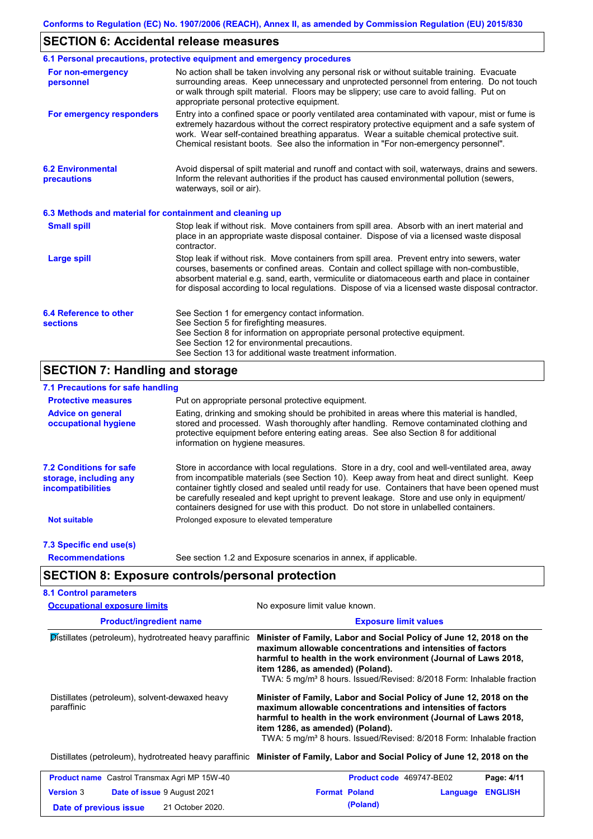# **SECTION 6: Accidental release measures**

|                                                          | 6.1 Personal precautions, protective equipment and emergency procedures                                                                                                                                                                                                                                                                                                                        |
|----------------------------------------------------------|------------------------------------------------------------------------------------------------------------------------------------------------------------------------------------------------------------------------------------------------------------------------------------------------------------------------------------------------------------------------------------------------|
| For non-emergency<br>personnel                           | No action shall be taken involving any personal risk or without suitable training. Evacuate<br>surrounding areas. Keep unnecessary and unprotected personnel from entering. Do not touch<br>or walk through spilt material. Floors may be slippery; use care to avoid falling. Put on<br>appropriate personal protective equipment.                                                            |
| For emergency responders                                 | Entry into a confined space or poorly ventilated area contaminated with vapour, mist or fume is<br>extremely hazardous without the correct respiratory protective equipment and a safe system of<br>work. Wear self-contained breathing apparatus. Wear a suitable chemical protective suit.<br>Chemical resistant boots. See also the information in "For non-emergency personnel".           |
| <b>6.2 Environmental</b><br>precautions                  | Avoid dispersal of spilt material and runoff and contact with soil, waterways, drains and sewers.<br>Inform the relevant authorities if the product has caused environmental pollution (sewers,<br>waterways, soil or air).                                                                                                                                                                    |
| 6.3 Methods and material for containment and cleaning up |                                                                                                                                                                                                                                                                                                                                                                                                |
| <b>Small spill</b>                                       | Stop leak if without risk. Move containers from spill area. Absorb with an inert material and<br>place in an appropriate waste disposal container. Dispose of via a licensed waste disposal<br>contractor.                                                                                                                                                                                     |
| <b>Large spill</b>                                       | Stop leak if without risk. Move containers from spill area. Prevent entry into sewers, water<br>courses, basements or confined areas. Contain and collect spillage with non-combustible,<br>absorbent material e.g. sand, earth, vermiculite or diatomaceous earth and place in container<br>for disposal according to local regulations. Dispose of via a licensed waste disposal contractor. |
| 6.4 Reference to other<br><b>sections</b>                | See Section 1 for emergency contact information.<br>See Section 5 for firefighting measures.<br>See Section 8 for information on appropriate personal protective equipment.<br>See Section 12 for environmental precautions.<br>See Section 13 for additional waste treatment information.                                                                                                     |

# **SECTION 7: Handling and storage**

## **7.1 Precautions for safe handling**

| <b>Protective measures</b>                                                           | Put on appropriate personal protective equipment.                                                                                                                                                                                                                                                                                                                                                                                                                                        |
|--------------------------------------------------------------------------------------|------------------------------------------------------------------------------------------------------------------------------------------------------------------------------------------------------------------------------------------------------------------------------------------------------------------------------------------------------------------------------------------------------------------------------------------------------------------------------------------|
| <b>Advice on general</b><br>occupational hygiene                                     | Eating, drinking and smoking should be prohibited in areas where this material is handled.<br>stored and processed. Wash thoroughly after handling. Remove contaminated clothing and<br>protective equipment before entering eating areas. See also Section 8 for additional<br>information on hygiene measures.                                                                                                                                                                         |
| <b>7.2 Conditions for safe</b><br>storage, including any<br><i>incompatibilities</i> | Store in accordance with local requiations. Store in a dry, cool and well-ventilated area, away<br>from incompatible materials (see Section 10). Keep away from heat and direct sunlight. Keep<br>container tightly closed and sealed until ready for use. Containers that have been opened must<br>be carefully resealed and kept upright to prevent leakage. Store and use only in equipment/<br>containers designed for use with this product. Do not store in unlabelled containers. |
| <b>Not suitable</b>                                                                  | Prolonged exposure to elevated temperature                                                                                                                                                                                                                                                                                                                                                                                                                                               |
| 7.3 Specific end use(s)                                                              |                                                                                                                                                                                                                                                                                                                                                                                                                                                                                          |
| <b>Recommendations</b>                                                               | See section 1.2 and Exposure scenarios in annex, if applicable.                                                                                                                                                                                                                                                                                                                                                                                                                          |

# **SECTION 8: Exposure controls/personal protection**

| <b>Occupational exposure limits</b>                          | No exposure limit value known.                                                                                                                                                                                                                                                                                                  |  |  |  |  |
|--------------------------------------------------------------|---------------------------------------------------------------------------------------------------------------------------------------------------------------------------------------------------------------------------------------------------------------------------------------------------------------------------------|--|--|--|--|
| <b>Product/ingredient name</b>                               | <b>Exposure limit values</b>                                                                                                                                                                                                                                                                                                    |  |  |  |  |
| Distillates (petroleum), hydrotreated heavy paraffinic       | Minister of Family, Labor and Social Policy of June 12, 2018 on the<br>maximum allowable concentrations and intensities of factors<br>harmful to health in the work environment (Journal of Laws 2018,<br>item 1286, as amended) (Poland).<br>TWA: 5 mg/m <sup>3</sup> 8 hours. Issued/Revised: 8/2018 Form: Inhalable fraction |  |  |  |  |
| Distillates (petroleum), solvent-dewaxed heavy<br>paraffinic | Minister of Family, Labor and Social Policy of June 12, 2018 on the<br>maximum allowable concentrations and intensities of factors<br>harmful to health in the work environment (Journal of Laws 2018,<br>item 1286, as amended) (Poland).<br>TWA: 5 mg/m <sup>3</sup> 8 hours. Issued/Revised: 8/2018 Form: Inhalable fraction |  |  |  |  |
|                                                              | Distillates (petroleum), hydrotreated heavy paraffinic Minister of Family, Labor and Social Policy of June 12, 2018 on the                                                                                                                                                                                                      |  |  |  |  |
| <b>Product name</b> Castrol Transmax Agri MP 15W-40          | Page: 4/11<br><b>Product code</b> 469747-BE02                                                                                                                                                                                                                                                                                   |  |  |  |  |
| <b>Version 3</b><br><b>Date of issue 9 August 2021</b>       | <b>Format Poland</b><br><b>ENGLISH</b><br>Language                                                                                                                                                                                                                                                                              |  |  |  |  |
| 21 October 2020.<br>Date of previous issue                   | (Poland)                                                                                                                                                                                                                                                                                                                        |  |  |  |  |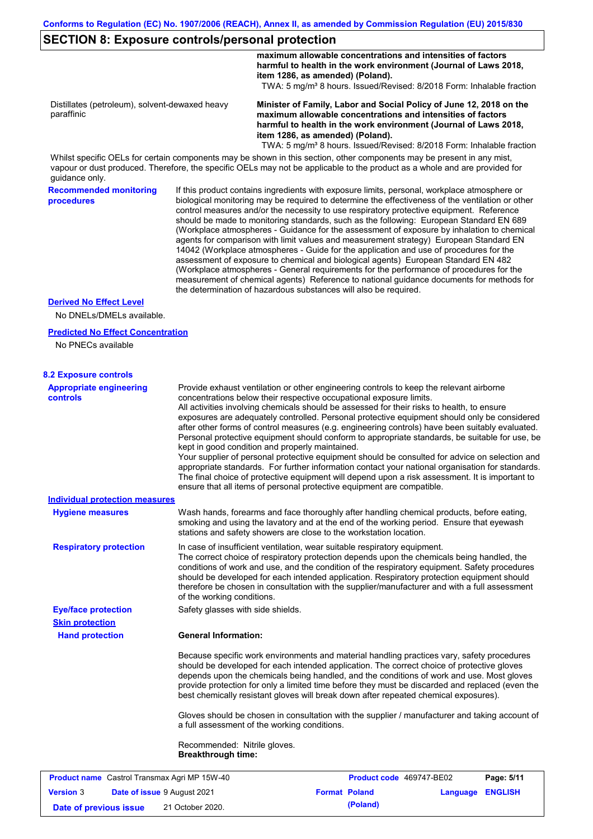### **SECTION 8: Exposure controls/personal protection**

**Conforms to Regulation (EC) No. 1907/2006 (REACH), Annex II, as amended by Commission Regulation (EU) 2015/830 Recommended monitoring procedures** If this product contains ingredients with exposure limits, personal, workplace atmosphere or biological monitoring may be required to determine the effectiveness of the ventilation or other control measures and/or the necessity to use respiratory protective equipment. Reference should be made to monitoring standards, such as the following: European Standard EN 689 (Workplace atmospheres - Guidance for the assessment of exposure by inhalation to chemical agents for comparison with limit values and measurement strategy) European Standard EN 14042 (Workplace atmospheres - Guide for the application and use of procedures for the assessment of exposure to chemical and biological agents) European Standard EN 482 (Workplace atmospheres - General requirements for the performance of procedures for the measurement of chemical agents) Reference to national guidance documents for methods for the determination of hazardous substances will also be required. **Hand protection** In case of insufficient ventilation, wear suitable respiratory equipment. The correct choice of respiratory protection depends upon the chemicals being handled, the conditions of work and use, and the condition of the respiratory equipment. Safety procedures should be developed for each intended application. Respiratory protection equipment should therefore be chosen in consultation with the supplier/manufacturer and with a full assessment of the working conditions. **General Information:** Because specific work environments and material handling practices vary, safety procedures should be developed for each intended application. The correct choice of protective gloves depends upon the chemicals being handled, and the conditions of work and use. Most gloves provide protection for only a limited time before they must be discarded and replaced (even the **Eye/face protection** Safety glasses with side shields. **Respiratory protection Skin protection Appropriate engineering controls** Provide exhaust ventilation or other engineering controls to keep the relevant airborne concentrations below their respective occupational exposure limits. All activities involving chemicals should be assessed for their risks to health, to ensure exposures are adequately controlled. Personal protective equipment should only be considered after other forms of control measures (e.g. engineering controls) have been suitably evaluated. Personal protective equipment should conform to appropriate standards, be suitable for use, be kept in good condition and properly maintained. Your supplier of personal protective equipment should be consulted for advice on selection and appropriate standards. For further information contact your national organisation for standards. The final choice of protective equipment will depend upon a risk assessment. It is important to ensure that all items of personal protective equipment are compatible. Wash hands, forearms and face thoroughly after handling chemical products, before eating, smoking and using the lavatory and at the end of the working period. Ensure that eyewash stations and safety showers are close to the workstation location. **8.2 Exposure controls Hygiene measures** No DNELs/DMELs available. **Predicted No Effect Concentration** No PNECs available **Derived No Effect Level Individual protection measures** Whilst specific OELs for certain components may be shown in this section, other components may be present in any mist, vapour or dust produced. Therefore, the specific OELs may not be applicable to the product as a whole and are provided for guidance only. **maximum allowable concentrations and intensities of factors harmful to health in the work environment (Journal of Laws 2018, item 1286, as amended) (Poland).** TWA: 5 mg/m<sup>3</sup> 8 hours. Issued/Revised: 8/2018 Form: Inhalable fraction Distillates (petroleum), solvent-dewaxed heavy paraffinic **Minister of Family, Labor and Social Policy of June 12, 2018 on the maximum allowable concentrations and intensities of factors harmful to health in the work environment (Journal of Laws 2018, item 1286, as amended) (Poland).** TWA: 5 mg/m<sup>3</sup> 8 hours. Issued/Revised: 8/2018 Form: Inhalable fraction

> Gloves should be chosen in consultation with the supplier / manufacturer and taking account of a full assessment of the working conditions.

best chemically resistant gloves will break down after repeated chemical exposures).

Recommended: Nitrile gloves. **Breakthrough time:**

| <b>Product name</b> Castrol Transmax Agri MP 15W-40 |  |                                    | <b>Product code</b> 469747-BE02 | Page: 5/11           |                         |  |
|-----------------------------------------------------|--|------------------------------------|---------------------------------|----------------------|-------------------------|--|
| <b>Version 3</b>                                    |  | <b>Date of issue 9 August 2021</b> |                                 | <b>Format Poland</b> | <b>Language ENGLISH</b> |  |
| Date of previous issue                              |  | 21 October 2020.                   |                                 | (Poland)             |                         |  |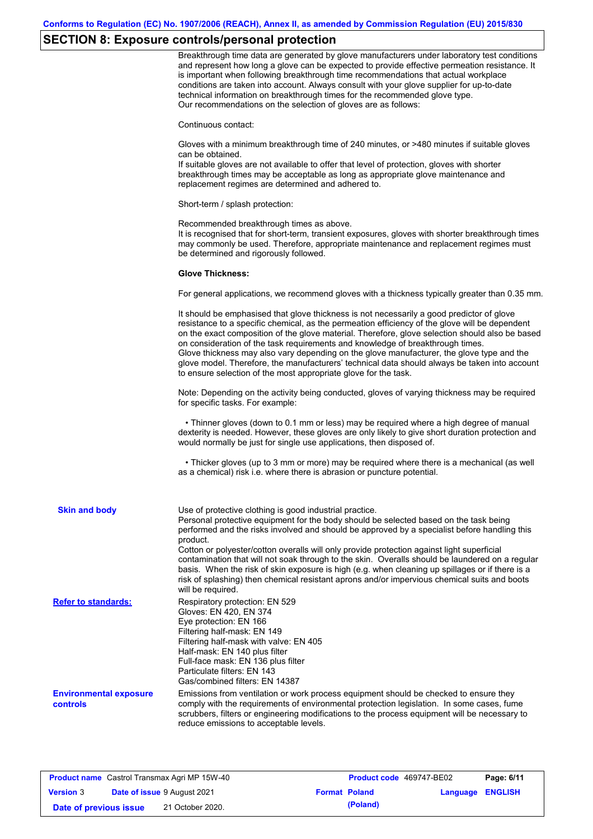# **SECTION 8: Exposure controls/personal protection**

|                                                  | Breakthrough time data are generated by glove manufacturers under laboratory test conditions<br>and represent how long a glove can be expected to provide effective permeation resistance. It<br>is important when following breakthrough time recommendations that actual workplace<br>conditions are taken into account. Always consult with your glove supplier for up-to-date<br>technical information on breakthrough times for the recommended glove type.<br>Our recommendations on the selection of gloves are as follows:                                                                                                                |
|--------------------------------------------------|---------------------------------------------------------------------------------------------------------------------------------------------------------------------------------------------------------------------------------------------------------------------------------------------------------------------------------------------------------------------------------------------------------------------------------------------------------------------------------------------------------------------------------------------------------------------------------------------------------------------------------------------------|
|                                                  | Continuous contact:                                                                                                                                                                                                                                                                                                                                                                                                                                                                                                                                                                                                                               |
|                                                  | Gloves with a minimum breakthrough time of 240 minutes, or >480 minutes if suitable gloves<br>can be obtained.<br>If suitable gloves are not available to offer that level of protection, gloves with shorter<br>breakthrough times may be acceptable as long as appropriate glove maintenance and<br>replacement regimes are determined and adhered to.                                                                                                                                                                                                                                                                                          |
|                                                  | Short-term / splash protection:                                                                                                                                                                                                                                                                                                                                                                                                                                                                                                                                                                                                                   |
|                                                  | Recommended breakthrough times as above.<br>It is recognised that for short-term, transient exposures, gloves with shorter breakthrough times<br>may commonly be used. Therefore, appropriate maintenance and replacement regimes must<br>be determined and rigorously followed.                                                                                                                                                                                                                                                                                                                                                                  |
|                                                  | <b>Glove Thickness:</b>                                                                                                                                                                                                                                                                                                                                                                                                                                                                                                                                                                                                                           |
|                                                  | For general applications, we recommend gloves with a thickness typically greater than 0.35 mm.                                                                                                                                                                                                                                                                                                                                                                                                                                                                                                                                                    |
|                                                  | It should be emphasised that glove thickness is not necessarily a good predictor of glove<br>resistance to a specific chemical, as the permeation efficiency of the glove will be dependent<br>on the exact composition of the glove material. Therefore, glove selection should also be based<br>on consideration of the task requirements and knowledge of breakthrough times.<br>Glove thickness may also vary depending on the glove manufacturer, the glove type and the<br>glove model. Therefore, the manufacturers' technical data should always be taken into account<br>to ensure selection of the most appropriate glove for the task. |
|                                                  | Note: Depending on the activity being conducted, gloves of varying thickness may be required<br>for specific tasks. For example:                                                                                                                                                                                                                                                                                                                                                                                                                                                                                                                  |
|                                                  | • Thinner gloves (down to 0.1 mm or less) may be required where a high degree of manual<br>dexterity is needed. However, these gloves are only likely to give short duration protection and<br>would normally be just for single use applications, then disposed of.                                                                                                                                                                                                                                                                                                                                                                              |
|                                                  | • Thicker gloves (up to 3 mm or more) may be required where there is a mechanical (as well<br>as a chemical) risk i.e. where there is abrasion or puncture potential.                                                                                                                                                                                                                                                                                                                                                                                                                                                                             |
| <b>Skin and body</b>                             | Use of protective clothing is good industrial practice.<br>Personal protective equipment for the body should be selected based on the task being<br>performed and the risks involved and should be approved by a specialist before handling this<br>product.                                                                                                                                                                                                                                                                                                                                                                                      |
|                                                  | Cotton or polyester/cotton overalls will only provide protection against light superficial<br>contamination that will not soak through to the skin. Overalls should be laundered on a regular<br>basis. When the risk of skin exposure is high (e.g. when cleaning up spillages or if there is a<br>risk of splashing) then chemical resistant aprons and/or impervious chemical suits and boots<br>will be required.                                                                                                                                                                                                                             |
| <b>Refer to standards:</b>                       | Respiratory protection: EN 529<br>Gloves: EN 420, EN 374<br>Eye protection: EN 166<br>Filtering half-mask: EN 149<br>Filtering half-mask with valve: EN 405<br>Half-mask: EN 140 plus filter<br>Full-face mask: EN 136 plus filter<br>Particulate filters: EN 143<br>Gas/combined filters: EN 14387                                                                                                                                                                                                                                                                                                                                               |
| <b>Environmental exposure</b><br><b>controls</b> | Emissions from ventilation or work process equipment should be checked to ensure they<br>comply with the requirements of environmental protection legislation. In some cases, fume<br>scrubbers, filters or engineering modifications to the process equipment will be necessary to<br>reduce emissions to acceptable levels.                                                                                                                                                                                                                                                                                                                     |

| <b>Product name</b> Castrol Transmax Agri MP 15W-40 |  |                                    | Product code 469747-BE02 |                      | Page: 6/11              |  |
|-----------------------------------------------------|--|------------------------------------|--------------------------|----------------------|-------------------------|--|
| <b>Version 3</b>                                    |  | <b>Date of issue 9 August 2021</b> |                          | <b>Format Poland</b> | <b>Language ENGLISH</b> |  |
| Date of previous issue                              |  | 21 October 2020.                   |                          | (Poland)             |                         |  |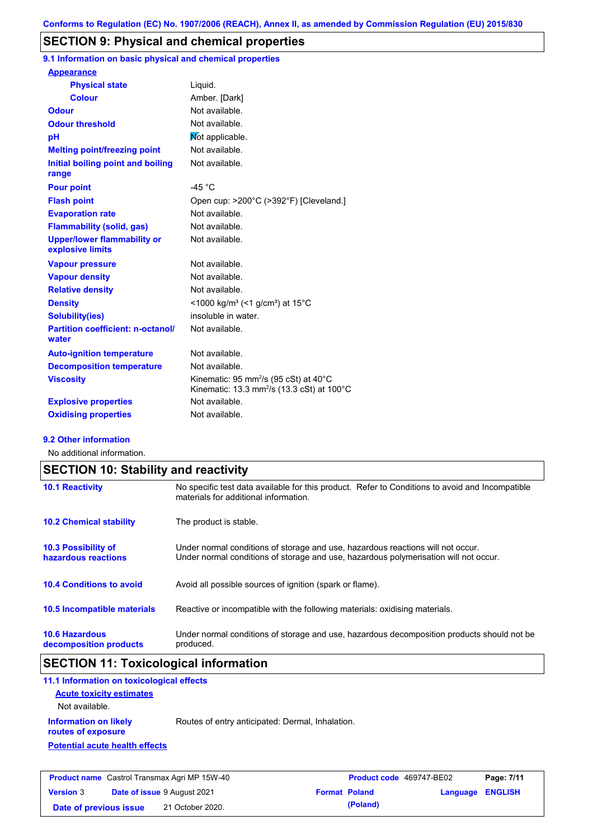# **SECTION 9: Physical and chemical properties**

**9.1 Information on basic physical and chemical properties**

| <b>Appearance</b>                                      |                                                                                                                                  |
|--------------------------------------------------------|----------------------------------------------------------------------------------------------------------------------------------|
| <b>Physical state</b>                                  | Liquid.                                                                                                                          |
| <b>Colour</b>                                          | Amber. [Dark]                                                                                                                    |
| <b>Odour</b>                                           | Not available.                                                                                                                   |
| <b>Odour threshold</b>                                 | Not available.                                                                                                                   |
| рH                                                     | Mot applicable.                                                                                                                  |
| <b>Melting point/freezing point</b>                    | Not available.                                                                                                                   |
| Initial boiling point and boiling<br>range             | Not available.                                                                                                                   |
| <b>Pour point</b>                                      | $-45 °C$                                                                                                                         |
| <b>Flash point</b>                                     | Open cup: >200°C (>392°F) [Cleveland.]                                                                                           |
| <b>Evaporation rate</b>                                | Not available.                                                                                                                   |
| <b>Flammability (solid, gas)</b>                       | Not available.                                                                                                                   |
| <b>Upper/lower flammability or</b><br>explosive limits | Not available.                                                                                                                   |
| <b>Vapour pressure</b>                                 | Not available.                                                                                                                   |
| <b>Vapour density</b>                                  | Not available.                                                                                                                   |
| <b>Relative density</b>                                | Not available.                                                                                                                   |
| <b>Density</b>                                         | $<$ 1000 kg/m <sup>3</sup> (<1 g/cm <sup>3</sup> ) at 15 <sup>°</sup> C                                                          |
| <b>Solubility(ies)</b>                                 | insoluble in water.                                                                                                              |
| <b>Partition coefficient: n-octanol/</b><br>water      | Not available.                                                                                                                   |
| <b>Auto-ignition temperature</b>                       | Not available.                                                                                                                   |
| <b>Decomposition temperature</b>                       | Not available.                                                                                                                   |
| <b>Viscosity</b>                                       | Kinematic: 95 mm <sup>2</sup> /s (95 cSt) at $40^{\circ}$ C<br>Kinematic: 13.3 mm <sup>2</sup> /s (13.3 cSt) at 100 $^{\circ}$ C |
| <b>Explosive properties</b>                            | Not available.                                                                                                                   |
| <b>Oxidising properties</b>                            | Not available.                                                                                                                   |
|                                                        |                                                                                                                                  |

#### **9.2 Other information**

No additional information.

| <b>SECTION 10: Stability and reactivity</b>       |                                                                                                                                                                         |  |  |  |
|---------------------------------------------------|-------------------------------------------------------------------------------------------------------------------------------------------------------------------------|--|--|--|
| <b>10.1 Reactivity</b>                            | No specific test data available for this product. Refer to Conditions to avoid and Incompatible<br>materials for additional information.                                |  |  |  |
| <b>10.2 Chemical stability</b>                    | The product is stable.                                                                                                                                                  |  |  |  |
| <b>10.3 Possibility of</b><br>hazardous reactions | Under normal conditions of storage and use, hazardous reactions will not occur.<br>Under normal conditions of storage and use, hazardous polymerisation will not occur. |  |  |  |
| <b>10.4 Conditions to avoid</b>                   | Avoid all possible sources of ignition (spark or flame).                                                                                                                |  |  |  |
| <b>10.5 Incompatible materials</b>                | Reactive or incompatible with the following materials: oxidising materials.                                                                                             |  |  |  |
| <b>10.6 Hazardous</b><br>decomposition products   | Under normal conditions of storage and use, hazardous decomposition products should not be<br>produced.                                                                 |  |  |  |

# **SECTION 11: Toxicological information**

| 11.1 Information on toxicological effects          |                                                  |
|----------------------------------------------------|--------------------------------------------------|
| <b>Acute toxicity estimates</b>                    |                                                  |
| Not available.                                     |                                                  |
| <b>Information on likely</b><br>routes of exposure | Routes of entry anticipated: Dermal, Inhalation. |
| <b>Potential acute health effects</b>              |                                                  |
|                                                    |                                                  |
|                                                    |                                                  |

| <b>Product name</b> Castrol Transmax Agri MP 15W-40 |  | <b>Product code</b> 469747-BE02    |  | Page: 7/11           |                         |  |
|-----------------------------------------------------|--|------------------------------------|--|----------------------|-------------------------|--|
| <b>Version 3</b>                                    |  | <b>Date of issue 9 August 2021</b> |  | <b>Format Poland</b> | <b>Language ENGLISH</b> |  |
| Date of previous issue                              |  | 21 October 2020.                   |  | (Poland)             |                         |  |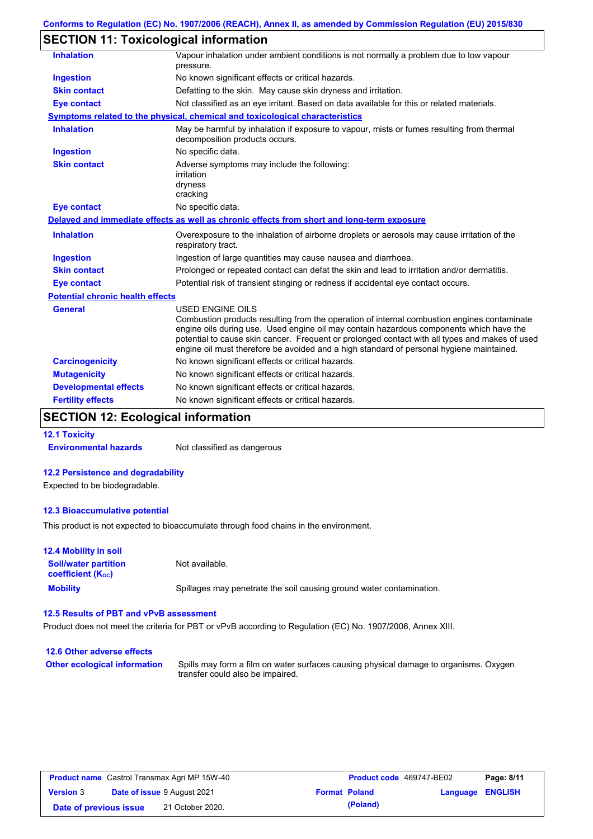# **SECTION 11: Toxicological information**

| <b>Inhalation</b>                       | Vapour inhalation under ambient conditions is not normally a problem due to low vapour<br>pressure.                                                                                                                                                                                                                                                                                                             |
|-----------------------------------------|-----------------------------------------------------------------------------------------------------------------------------------------------------------------------------------------------------------------------------------------------------------------------------------------------------------------------------------------------------------------------------------------------------------------|
| <b>Ingestion</b>                        | No known significant effects or critical hazards.                                                                                                                                                                                                                                                                                                                                                               |
| <b>Skin contact</b>                     | Defatting to the skin. May cause skin dryness and irritation.                                                                                                                                                                                                                                                                                                                                                   |
| <b>Eye contact</b>                      | Not classified as an eye irritant. Based on data available for this or related materials.                                                                                                                                                                                                                                                                                                                       |
|                                         | <b>Symptoms related to the physical, chemical and toxicological characteristics</b>                                                                                                                                                                                                                                                                                                                             |
| <b>Inhalation</b>                       | May be harmful by inhalation if exposure to vapour, mists or fumes resulting from thermal<br>decomposition products occurs.                                                                                                                                                                                                                                                                                     |
| Ingestion                               | No specific data.                                                                                                                                                                                                                                                                                                                                                                                               |
| <b>Skin contact</b>                     | Adverse symptoms may include the following:<br>irritation<br>dryness<br>cracking                                                                                                                                                                                                                                                                                                                                |
| <b>Eye contact</b>                      | No specific data.                                                                                                                                                                                                                                                                                                                                                                                               |
|                                         | Delayed and immediate effects as well as chronic effects from short and long-term exposure                                                                                                                                                                                                                                                                                                                      |
| <b>Inhalation</b>                       | Overexposure to the inhalation of airborne droplets or aerosols may cause irritation of the<br>respiratory tract.                                                                                                                                                                                                                                                                                               |
| <b>Ingestion</b>                        | Ingestion of large quantities may cause nausea and diarrhoea.                                                                                                                                                                                                                                                                                                                                                   |
| <b>Skin contact</b>                     | Prolonged or repeated contact can defat the skin and lead to irritation and/or dermatitis.                                                                                                                                                                                                                                                                                                                      |
| <b>Eye contact</b>                      | Potential risk of transient stinging or redness if accidental eye contact occurs.                                                                                                                                                                                                                                                                                                                               |
| <b>Potential chronic health effects</b> |                                                                                                                                                                                                                                                                                                                                                                                                                 |
| <b>General</b>                          | <b>USED ENGINE OILS</b><br>Combustion products resulting from the operation of internal combustion engines contaminate<br>engine oils during use. Used engine oil may contain hazardous components which have the<br>potential to cause skin cancer. Frequent or prolonged contact with all types and makes of used<br>engine oil must therefore be avoided and a high standard of personal hygiene maintained. |
| <b>Carcinogenicity</b>                  | No known significant effects or critical hazards.                                                                                                                                                                                                                                                                                                                                                               |
| <b>Mutagenicity</b>                     | No known significant effects or critical hazards.                                                                                                                                                                                                                                                                                                                                                               |
| <b>Developmental effects</b>            | No known significant effects or critical hazards.                                                                                                                                                                                                                                                                                                                                                               |
| <b>Fertility effects</b>                | No known significant effects or critical hazards.                                                                                                                                                                                                                                                                                                                                                               |
|                                         |                                                                                                                                                                                                                                                                                                                                                                                                                 |

# **SECTION 12: Ecological information**

**12.1 Toxicity Environmental hazards** Not classified as dangerous

# **12.2 Persistence and degradability**

Expected to be biodegradable.

#### **12.3 Bioaccumulative potential**

This product is not expected to bioaccumulate through food chains in the environment.

| <b>12.4 Mobility in soil</b>                                  |                                                                      |
|---------------------------------------------------------------|----------------------------------------------------------------------|
| <b>Soil/water partition</b><br>coefficient (K <sub>oc</sub> ) | Not available.                                                       |
| <b>Mobility</b>                                               | Spillages may penetrate the soil causing ground water contamination. |

### **12.5 Results of PBT and vPvB assessment**

Product does not meet the criteria for PBT or vPvB according to Regulation (EC) No. 1907/2006, Annex XIII.

| 12.6 Other adverse effects          |                                                                                                                           |
|-------------------------------------|---------------------------------------------------------------------------------------------------------------------------|
| <b>Other ecological information</b> | Spills may form a film on water surfaces causing physical damage to organisms. Oxygen<br>transfer could also be impaired. |

| <b>Product name</b> Castrol Transmax Agri MP 15W-40 |  |                                    | <b>Product code</b> 469747-BE02 |                      | Page: 8/11              |  |
|-----------------------------------------------------|--|------------------------------------|---------------------------------|----------------------|-------------------------|--|
| <b>Version 3</b>                                    |  | <b>Date of issue 9 August 2021</b> |                                 | <b>Format Poland</b> | <b>Language ENGLISH</b> |  |
| Date of previous issue                              |  | 21 October 2020.                   |                                 | (Poland)             |                         |  |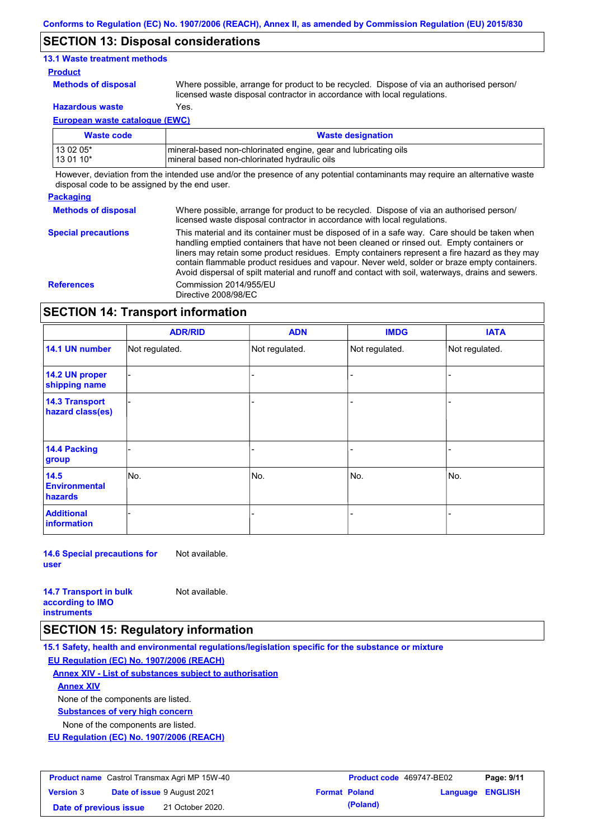### **SECTION 13: Disposal considerations**

### **13.1 Waste treatment methods**

#### **Product**

**Methods of disposal**

Where possible, arrange for product to be recycled. Dispose of via an authorised person/

**Hazardous waste** Yes.

licensed waste disposal contractor in accordance with local regulations.

**European waste catalogue (EWC)**

| Waste code  | <b>Waste designation</b>                                         |
|-------------|------------------------------------------------------------------|
| l 13 02 05* | Imineral-based non-chlorinated engine, gear and lubricating oils |
| 13 01 10*   | mineral based non-chlorinated hydraulic oils                     |

However, deviation from the intended use and/or the presence of any potential contaminants may require an alternative waste disposal code to be assigned by the end user.

#### **Packaging**

**Methods of disposal** Where possible, arrange for product to be recycled. Dispose of via an authorised person/ licensed waste disposal contractor in accordance with local regulations.

**Special precautions** This material and its container must be disposed of in a safe way. Care should be taken when handling emptied containers that have not been cleaned or rinsed out. Empty containers or liners may retain some product residues. Empty containers represent a fire hazard as they may contain flammable product residues and vapour. Never weld, solder or braze empty containers. Avoid dispersal of spilt material and runoff and contact with soil, waterways, drains and sewers. **References** Commission 2014/955/EU Directive 2008/98/EC

### **SECTION 14: Transport information**

|                                           | <b>ADR/RID</b> | <b>ADN</b>     | <b>IMDG</b>    | <b>IATA</b>    |
|-------------------------------------------|----------------|----------------|----------------|----------------|
| 14.1 UN number                            | Not regulated. | Not regulated. | Not regulated. | Not regulated. |
| 14.2 UN proper<br>shipping name           |                |                | -              |                |
| <b>14.3 Transport</b><br>hazard class(es) |                |                | -              |                |
| 14.4 Packing<br>group                     |                |                |                |                |
| 14.5<br><b>Environmental</b><br>hazards   | No.            | No.            | No.            | No.            |
| <b>Additional</b><br><b>information</b>   |                |                |                |                |

**14.6 Special precautions for user** Not available.

| <b>14.7 Transport in bulk</b> |  |
|-------------------------------|--|
| according to IMO              |  |
| <b>instruments</b>            |  |

### **SECTION 15: Regulatory information**

**15.1 Safety, health and environmental regulations/legislation specific for the substance or mixture EU Regulation (EC) No. 1907/2006 (REACH)**

**Annex XIV - List of substances subject to authorisation**

Not available.

**Annex XIV**

None of the components are listed.

**Substances of very high concern**

None of the components are listed.

**EU Regulation (EC) No. 1907/2006 (REACH)**

| <b>Product name</b> Castrol Transmax Agri MP 15W-40 |  |                                    | <b>Product code</b> 469747-BE02 |                      | Page: 9/11              |  |
|-----------------------------------------------------|--|------------------------------------|---------------------------------|----------------------|-------------------------|--|
| <b>Version 3</b>                                    |  | <b>Date of issue 9 August 2021</b> |                                 | <b>Format Poland</b> | <b>Language ENGLISH</b> |  |
| Date of previous issue                              |  | 21 October 2020.                   |                                 | (Poland)             |                         |  |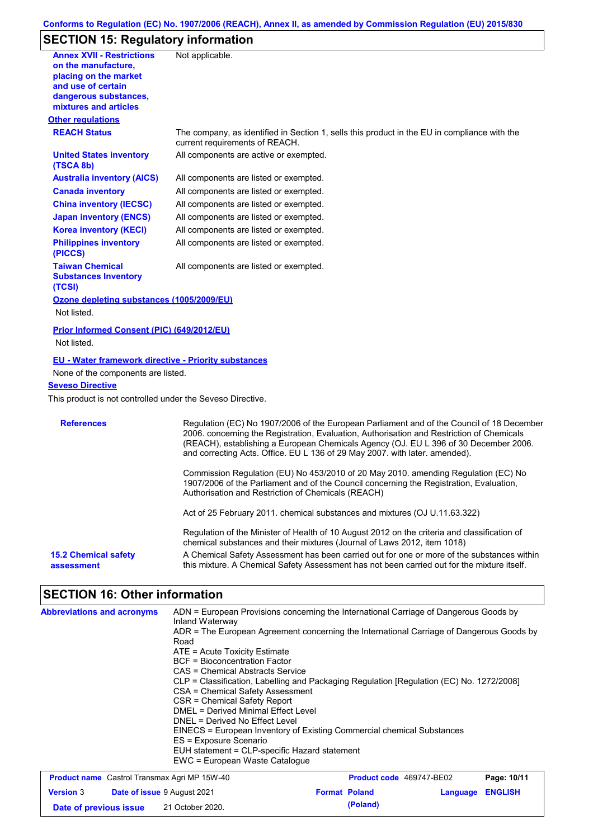# **SECTION 15: Regulatory information**

| <b>Annex XVII - Restrictions</b><br>on the manufacture.<br>placing on the market<br>and use of certain<br>dangerous substances,<br>mixtures and articles                                   | Not applicable.                                                                                                                                                                                                                                                                                                                                               |
|--------------------------------------------------------------------------------------------------------------------------------------------------------------------------------------------|---------------------------------------------------------------------------------------------------------------------------------------------------------------------------------------------------------------------------------------------------------------------------------------------------------------------------------------------------------------|
| <b>Other regulations</b>                                                                                                                                                                   |                                                                                                                                                                                                                                                                                                                                                               |
| <b>REACH Status</b>                                                                                                                                                                        | The company, as identified in Section 1, sells this product in the EU in compliance with the<br>current requirements of REACH.                                                                                                                                                                                                                                |
| <b>United States inventory</b><br>(TSCA 8b)                                                                                                                                                | All components are active or exempted.                                                                                                                                                                                                                                                                                                                        |
| <b>Australia inventory (AICS)</b>                                                                                                                                                          | All components are listed or exempted.                                                                                                                                                                                                                                                                                                                        |
| <b>Canada inventory</b>                                                                                                                                                                    | All components are listed or exempted.                                                                                                                                                                                                                                                                                                                        |
| <b>China inventory (IECSC)</b>                                                                                                                                                             | All components are listed or exempted.                                                                                                                                                                                                                                                                                                                        |
| <b>Japan inventory (ENCS)</b>                                                                                                                                                              | All components are listed or exempted.                                                                                                                                                                                                                                                                                                                        |
| <b>Korea inventory (KECI)</b>                                                                                                                                                              | All components are listed or exempted.                                                                                                                                                                                                                                                                                                                        |
| <b>Philippines inventory</b><br>(PICCS)                                                                                                                                                    | All components are listed or exempted.                                                                                                                                                                                                                                                                                                                        |
| <b>Taiwan Chemical</b><br><b>Substances Inventory</b><br>(TCSI)                                                                                                                            | All components are listed or exempted.                                                                                                                                                                                                                                                                                                                        |
| Ozone depleting substances (1005/2009/EU)                                                                                                                                                  |                                                                                                                                                                                                                                                                                                                                                               |
| Not listed.                                                                                                                                                                                |                                                                                                                                                                                                                                                                                                                                                               |
| Prior Informed Consent (PIC) (649/2012/EU)<br>Not listed.                                                                                                                                  |                                                                                                                                                                                                                                                                                                                                                               |
| <b>EU - Water framework directive - Priority substances</b><br>None of the components are listed.<br><b>Seveso Directive</b><br>This product is not controlled under the Seveso Directive. |                                                                                                                                                                                                                                                                                                                                                               |
| <b>References</b>                                                                                                                                                                          | Regulation (EC) No 1907/2006 of the European Parliament and of the Council of 18 December<br>2006. concerning the Registration, Evaluation, Authorisation and Restriction of Chemicals<br>(REACH), establishing a European Chemicals Agency (OJ. EU L 396 of 30 December 2006.<br>and correcting Acts. Office. EU L 136 of 29 May 2007. with later. amended). |
|                                                                                                                                                                                            | Commission Regulation (EU) No 453/2010 of 20 May 2010. amending Regulation (EC) No<br>1907/2006 of the Parliament and of the Council concerning the Registration, Evaluation,<br>Authorisation and Restriction of Chemicals (REACH)                                                                                                                           |
|                                                                                                                                                                                            | Act of 25 February 2011. chemical substances and mixtures (OJ U.11.63.322)                                                                                                                                                                                                                                                                                    |
|                                                                                                                                                                                            | Regulation of the Minister of Health of 10 August 2012 on the criteria and classification of<br>chemical substances and their mixtures (Journal of Laws 2012, item 1018)                                                                                                                                                                                      |
| <b>15.2 Chemical safety</b><br>assessment                                                                                                                                                  | A Chemical Safety Assessment has been carried out for one or more of the substances within<br>this mixture. A Chemical Safety Assessment has not been carried out for the mixture itself.                                                                                                                                                                     |

# **SECTION 16: Other information**

| <b>Abbreviations and acronyms</b> | ADN = European Provisions concerning the International Carriage of Dangerous Goods by<br>Inland Waterway<br>ADR = The European Agreement concerning the International Carriage of Dangerous Goods by<br>Road<br>ATE = Acute Toxicity Estimate<br>BCF = Bioconcentration Factor<br>CAS = Chemical Abstracts Service<br>CLP = Classification, Labelling and Packaging Regulation [Regulation (EC) No. 1272/2008]<br>CSA = Chemical Safety Assessment<br>CSR = Chemical Safety Report<br>DMEL = Derived Minimal Effect Level<br>DNEL = Derived No Effect Level<br>EINECS = European Inventory of Existing Commercial chemical Substances<br>ES = Exposure Scenario<br>EUH statement = CLP-specific Hazard statement |
|-----------------------------------|------------------------------------------------------------------------------------------------------------------------------------------------------------------------------------------------------------------------------------------------------------------------------------------------------------------------------------------------------------------------------------------------------------------------------------------------------------------------------------------------------------------------------------------------------------------------------------------------------------------------------------------------------------------------------------------------------------------|
|                                   | EWC = European Waste Catalogue                                                                                                                                                                                                                                                                                                                                                                                                                                                                                                                                                                                                                                                                                   |

| <b>Product name</b> Castrol Transmax Agri MP 15W-40 |  |                                    | <b>Product code</b> 469747-BE02 |                      | Page: 10/11             |  |
|-----------------------------------------------------|--|------------------------------------|---------------------------------|----------------------|-------------------------|--|
| <b>Version</b> 3                                    |  | <b>Date of issue 9 August 2021</b> |                                 | <b>Format Poland</b> | <b>Language ENGLISH</b> |  |
| Date of previous issue                              |  | 21 October 2020.                   |                                 | (Poland)             |                         |  |